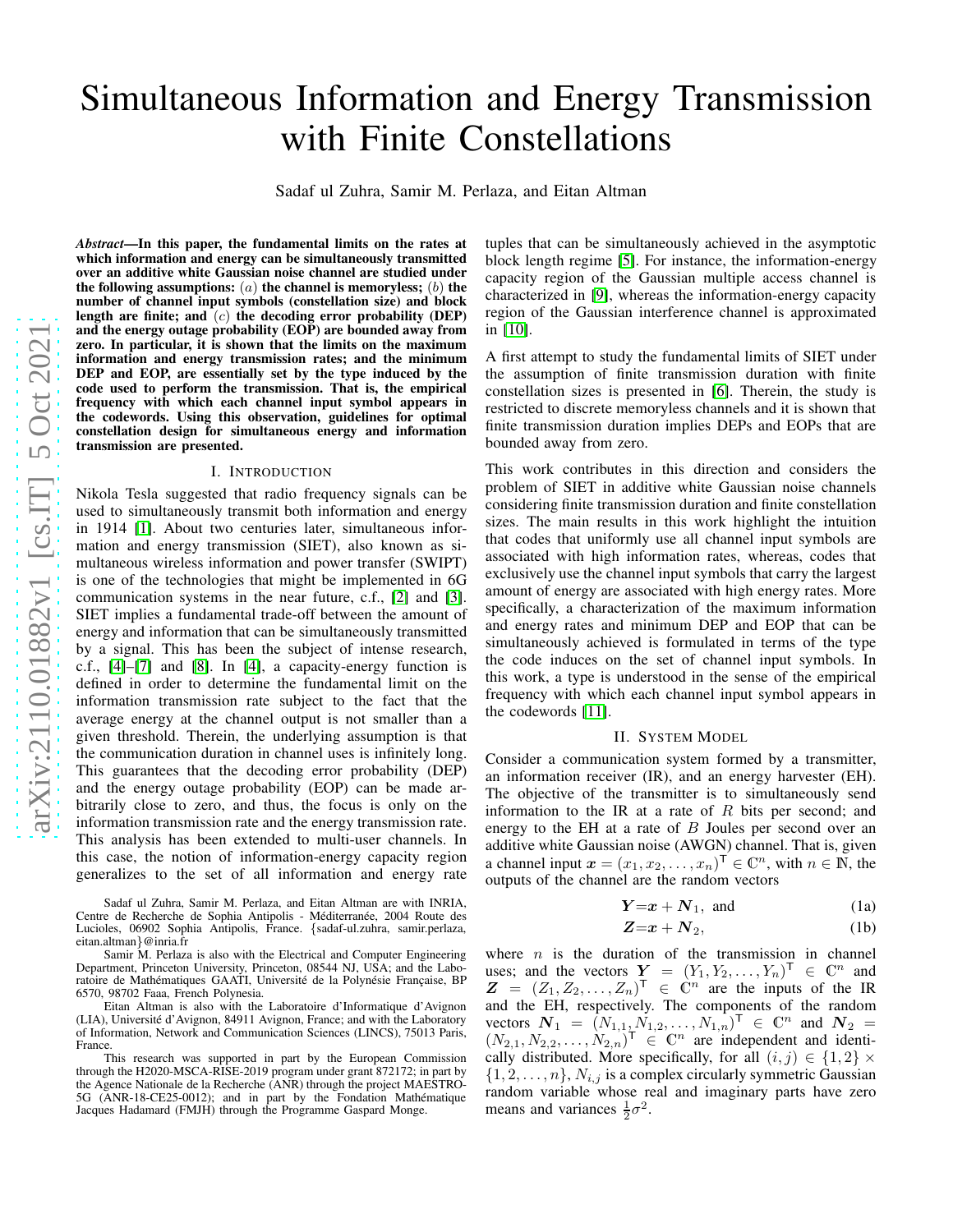# Simultaneous Information and Energy Transmission with Finite Constellations Sadaf ul Zuhra, Samir M. Perlaza, and Eitan Altman *Abstract*—In this paper, the fundamental limits on the rates at which information and energy can be simultaneously transmitted over an additive white Gaussian noise channel are studied under the following assumptions:  $(a)$  the channel is memoryless;  $(b)$  the number of channel input symbols (constellation size) and block length are finite; and  $(c)$  the decoding error probability (DEP)

and the energy outage probability (EOP) are bounded away fro m zero. In particular, it is shown that the limits on the maximu m information and energy transmission rates; and the minimum DEP and EOP, are essentially set by the type induced by the code used to perform the transmission. That is, the empirica l frequency with which each channel input symbol appears in the codewords. Using this observation, guidelines for optimal constellation design for simultaneous energy and information transmission are presented.

## I. INTRODUCTION

Nikola Tesla suggested that radio frequency signals can be used to simultaneously transmit both information and energy in 1914 [\[1\]](#page-5-0). About two centuries later, simultaneous information and energy transmission (SIET), also known as simultaneous wireless information and power transfer (SWIPT) is one of the technologies that might be implemented in 6G communication systems in the near future, c.f., [\[2\]](#page-5-1) and [\[3\]](#page-5-2). SIET implies a fundamental trade-off between the amount of energy and information that can be simultaneously transmitted by a signal. This has been the subject of intense research, c.f., [\[4\]](#page-5-3)–[\[7\]](#page-5-4) and [\[8\]](#page-5-5). In [\[4\]](#page-5-3), a capacity-energy function is defined in order to determine the fundamental limit on the information transmission rate subject to the fact that the average energy at the channel output is not smaller than a given threshold. Therein, the underlying assumption is tha t the communication duration in channel uses is infinitely long. This guarantees that the decoding error probability (DEP) and the energy outage probability (EOP) can be made arbitrarily close to zero, and thus, the focus is only on the information transmission rate and the energy transmission rate. This analysis has been extended to multi-user channels. In this case, the notion of information-energy capacity regio n generalizes to the set of all information and energy rate

Sadaf ul Zuhra, Samir M. Perlaza, and Eitan Altman are with INRIA, Centre de Recherche de Sophia Antipolis - Méditerranée, 2004 Route des Lucioles, 06902 Sophia Antipolis, France. {sadaf-ul.zuhra, samir.perlaza, eitan.altman }@inria.fr

Samir M. Perlaza is also with the Electrical and Computer Engineering Department, Princeton University, Princeton, 08544 NJ, USA; and the Laboratoire de Mathématiques GAATI, Université de la Polynésie Française, BP 6570, 98702 Faaa, French Polynesia.

Eitan Altman is also with the Laboratoire d'Informatique d'Avignon (LIA), Université d'Avignon, 84911 Avignon, France; and with the Laboratory of Information, Network and Communication Sciences (LINCS), 75013 Paris, France.

This research was supported in part by the European Commission through the H2020-MSCA-RISE-2019 program under grant 872172; in part by the Agence Nationale de la Recherche (ANR) through the project MAESTRO-5G (ANR-18-CE25-0012); and in part by the Fondation Mathématique Jacques Hadamard (FMJH) through the Programme Gaspard Monge.

tuples that can be simultaneously achieved in the asymptoti c block length regime [\[5\]](#page-5-6). For instance, the information-energy capacity region of the Gaussian multiple access channel is characterized in [\[9\]](#page-5-7), whereas the information-energy capacity region of the Gaussian interference channel is approximate d in [\[10\]](#page-5-8).

A first attempt to study the fundamental limits of SIET under the assumption of finite transmission duration with finite constellation sizes is presented in [\[6\]](#page-5-9). Therein, the study is restricted to discrete memoryless channels and it is shown that finite transmission duration implies DEPs and EOPs that are bounded away from zero.

This work contributes in this direction and considers the problem of SIET in additive white Gaussian noise channels considering finite transmission duration and finite constellation sizes. The main results in this work highlight the intuition that codes that uniformly use all channel input symbols are associated with high information rates, whereas, codes tha t exclusively use the channel input symbols that carry the largest amount of energy are associated with high energy rates. More specifically, a characterization of the maximum informatio n and energy rates and minimum DEP and EOP that can be simultaneously achieved is formulated in terms of the type the code induces on the set of channel input symbols. In this work, a type is understood in the sense of the empirical frequency with which each channel input symbol appears in the codewords [\[11\]](#page-5-10).

## II. SYSTEM MODEL

Consider a communication system formed by a transmitter, an information receiver (IR), and an energy harvester (EH). The objective of the transmitter is to simultaneously send information to the IR at a rate of  $R$  bits per second; and energy to the EH at a rate of B Joules per second over an additive white Gaussian noise (AWGN) channel. That is, give n a channel input  $x = (x_1, x_2, \dots, x_n)^\top \in \mathbb{C}^n$ , with  $n \in \mathbb{N}$ , the outputs of the channel are the random vectors

<span id="page-0-0"></span>
$$
Y=x+N_1, \text{ and } (1a)
$$

<span id="page-0-1"></span>
$$
Z=x+N_2,\t\t(1b)
$$

where  $n$  is the duration of the transmission in channel uses; and the vectors  $Y = (Y_1, Y_2, ..., Y_n)^\top \in \mathbb{C}^n$  and  $Z = (Z_1, Z_2, \ldots, Z_n)^\mathsf{T} \in \mathbb{C}^{n}$  are the inputs of the IR and the EH, respectively. The components of the random vectors  $N_1 = (N_{1,1}, N_{1,2}, \ldots, N_{1,n})^T \in \mathbb{C}^n$  and  $N_2 =$  $(N_{2,1}, N_{2,2}, \ldots, N_{2,n})^{\dagger} \in \mathbb{C}^n$  are independent and identically distributed. More specifically, for all  $(i, j) \in \{1, 2\} \times$  $\{1, 2, \ldots, n\}, N_{i,j}$  is a complex circularly symmetric Gaussian random variable whose real and imaginary parts have zero means and variances  $\frac{1}{2}\sigma^2$ .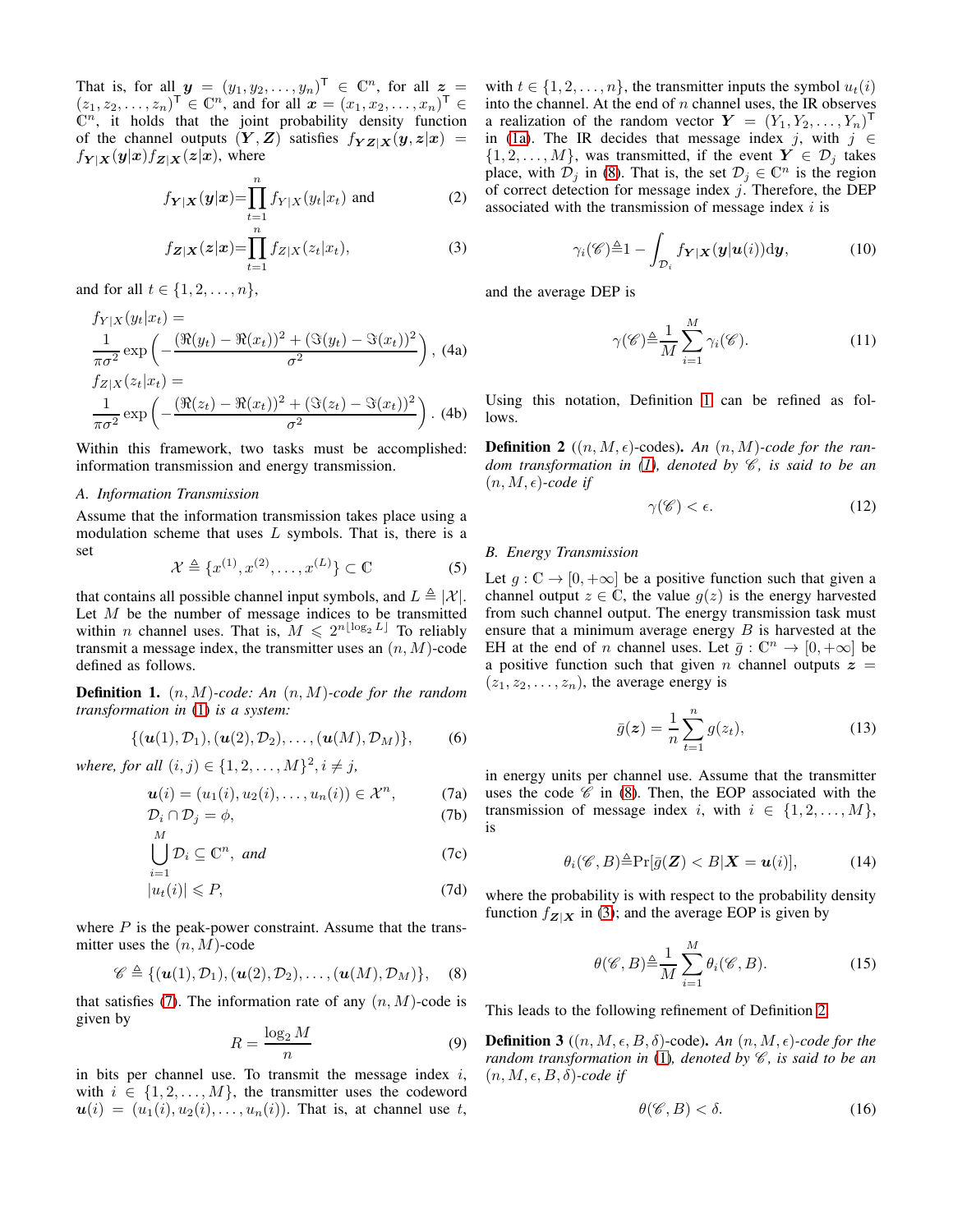That is, for all  $y = (y_1, y_2, \dots, y_n)^\top \in \mathbb{C}^n$ , for all  $z =$  $(z_1, z_2, \ldots, z_n)^\mathsf{T} \in \mathbb{C}^n$ , and for all  $\boldsymbol{x} = (x_1, x_2, \ldots, x_n)^\mathsf{T} \in$  $\mathbb{C}^n$ , it holds that the joint probability density function of the channel outputs  $(Y, Z)$  satisfies  $f_{YZ|X}(y, z|x)$  =  $f_{Y|X}(y|x) f_{Z|X}(z|x)$ , where

$$
f_{\mathbf{Y}|\mathbf{X}}(\mathbf{y}|\mathbf{x}) = \prod_{t=1}^{n} f_{Y|X}(y_t|x_t) \text{ and } (2)
$$

<span id="page-1-8"></span>
$$
f_{\mathbf{Z}|\mathbf{X}}(\mathbf{z}|\mathbf{x}) = \prod_{t=1}^{n} f_{Z|X}(z_t|x_t),
$$
\n(3)

and for all  $t \in \{1, 2, ..., n\},\$ 

$$
f_{Y|X}(y_t|x_t) =
$$
  
\n
$$
\frac{1}{\pi\sigma^2} \exp\left(-\frac{(\Re(y_t) - \Re(x_t))^2 + (\Im(y_t) - \Im(x_t))^2}{\sigma^2}\right), (4a)
$$
  
\n
$$
f_{Z|X}(z_t|x_t) =
$$
  
\n
$$
\frac{1}{\pi\sigma^2} \exp\left(-\frac{(\Re(z_t) - \Re(x_t))^2 + (\Im(z_t) - \Im(x_t))^2}{\sigma^2}\right).
$$
 (4b)

Within this framework, two tasks must be accomplished: information transmission and energy transmission.

#### *A. Information Transmission*

Assume that the information transmission takes place using a modulation scheme that uses  $L$  symbols. That is, there is a set

<span id="page-1-5"></span>
$$
\mathcal{X} \triangleq \{x^{(1)}, x^{(2)}, \dots, x^{(L)}\} \subset \mathbb{C}
$$
 (5)

that contains all possible channel input symbols, and  $L \triangleq |\mathcal{X}|$ . Let  $M$  be the number of message indices to be transmitted within *n* channel uses. That is,  $M \leq 2^{n \lfloor \log_2 L \rfloor}$  To reliably transmit a message index, the transmitter uses an  $(n, M)$ -code defined as follows.

<span id="page-1-2"></span>Definition 1. (n, M)*-code: An* (n, M)*-code for the random transformation in* [\(1\)](#page-0-0) *is a system:*

$$
\{(\bm{u}(1),\mathcal{D}_1),(\bm{u}(2),\mathcal{D}_2),\ldots,(\bm{u}(M),\mathcal{D}_M)\},\qquad(6)
$$

*where, for all*  $(i, j) \in \{1, 2, ..., M\}^2, i \neq j$ ,

$$
\mathbf{u}(i)=(u_1(i),u_2(i),\ldots,u_n(i))\in\mathcal{X}^n,\qquad\qquad(7a)
$$

$$
\mathcal{D}_i \cap \mathcal{D}_j = \phi,\tag{7b}
$$

$$
\bigcup_{i=1} \mathcal{D}_i \subseteq \mathbb{C}^n, \text{ and } \tag{7c}
$$

$$
|u_t(i)| \leqslant P,\tag{7d}
$$

where  $P$  is the peak-power constraint. Assume that the transmitter uses the  $(n, M)$ -code

<span id="page-1-1"></span>
$$
\mathscr{C} \triangleq \{(\boldsymbol{u}(1), \mathcal{D}_1), (\boldsymbol{u}(2), \mathcal{D}_2), \ldots, (\boldsymbol{u}(M), \mathcal{D}_M)\},\quad (8)
$$

that satisfies [\(7\)](#page-1-0). The information rate of any  $(n, M)$ -code is given by

<span id="page-1-6"></span>
$$
R = \frac{\log_2 M}{n} \tag{9}
$$

in bits per channel use. To transmit the message index  $i$ , with  $i \in \{1, 2, ..., M\}$ , the transmitter uses the codeword  $u(i) = (u_1(i), u_2(i), \ldots, u_n(i))$ . That is, at channel use t,

with  $t \in \{1, 2, \ldots, n\}$ , the transmitter inputs the symbol  $u_t(i)$ into the channel. At the end of  $n$  channel uses, the IR observes a realization of the random vector  $\boldsymbol{Y} = (Y_1, Y_2, \dots, Y_n)^\mathsf{T}$ in [\(1a\)](#page-0-1). The IR decides that message index j, with  $j \in$  $\{1, 2, \ldots, M\}$ , was transmitted, if the event  $Y \in \mathcal{D}_j$  takes place, with  $\mathcal{D}_j$  in [\(8\)](#page-1-1). That is, the set  $\mathcal{D}_j \in \mathbb{C}^n$  is the region of correct detection for message index  $j$ . Therefore, the DEP associated with the transmission of message index  $i$  is

$$
\gamma_i(\mathscr{C}) \triangleq 1 - \int_{\mathcal{D}_i} f_{\boldsymbol{Y}|\boldsymbol{X}}(\boldsymbol{y}|\boldsymbol{u}(i)) \mathrm{d}\boldsymbol{y},\tag{10}
$$

<span id="page-1-3"></span>and the average DEP is

$$
\gamma(\mathscr{C}) \triangleq \frac{1}{M} \sum_{i=1}^{M} \gamma_i(\mathscr{C}). \tag{11}
$$

Using this notation, Definition [1](#page-1-2) can be refined as follows.

<span id="page-1-4"></span>**Definition 2**  $((n, M, \epsilon)$ -codes). An  $(n, M)$ -code for the ran*dom transformation in [\(1\)](#page-0-0), denoted by* C*, is said to be an*  $(n, M, \epsilon)$ -code if

$$
\gamma(\mathscr{C}) < \epsilon. \tag{12}
$$

#### *B. Energy Transmission*

Let  $q: \mathbb{C} \to [0, +\infty]$  be a positive function such that given a channel output  $z \in \mathbb{C}$ , the value  $g(z)$  is the energy harvested from such channel output. The energy transmission task must ensure that a minimum average energy  $B$  is harvested at the EH at the end of *n* channel uses. Let  $\bar{g}: \mathbb{C}^n \to [0, +\infty]$  be a positive function such that given n channel outputs  $z =$  $(z_1, z_2, \ldots, z_n)$ , the average energy is

$$
\bar{g}(z) = \frac{1}{n} \sum_{t=1}^{n} g(z_t),
$$
\n(13)

<span id="page-1-0"></span>in energy units per channel use. Assume that the transmitter uses the code  $\mathscr C$  in [\(8\)](#page-1-1). Then, the EOP associated with the transmission of message index i, with  $i \in \{1, 2, ..., M\},\$ is

$$
\theta_i(\mathscr{C},B)\triangleq\Pr[\bar{g}(\boldsymbol{Z})
$$

where the probability is with respect to the probability density function  $f_{Z|X}$  in [\(3\)](#page-1-3); and the average EOP is given by

<span id="page-1-7"></span>
$$
\theta(\mathscr{C},B) \triangleq \frac{1}{M} \sum_{i=1}^{M} \theta_i(\mathscr{C},B). \tag{15}
$$

This leads to the following refinement of Definition [2.](#page-1-4)

**Definition 3** ( $(n, M, \epsilon, B, \delta)$ -code). An  $(n, M, \epsilon)$ -code for the *random transformation in* [\(1\)](#page-0-0)*, denoted by*  $\mathcal{C}$ *, is said to be an*  $(n, M, \epsilon, B, \delta)$ -code if

$$
\theta(\mathscr{C},B) < \delta. \tag{16}
$$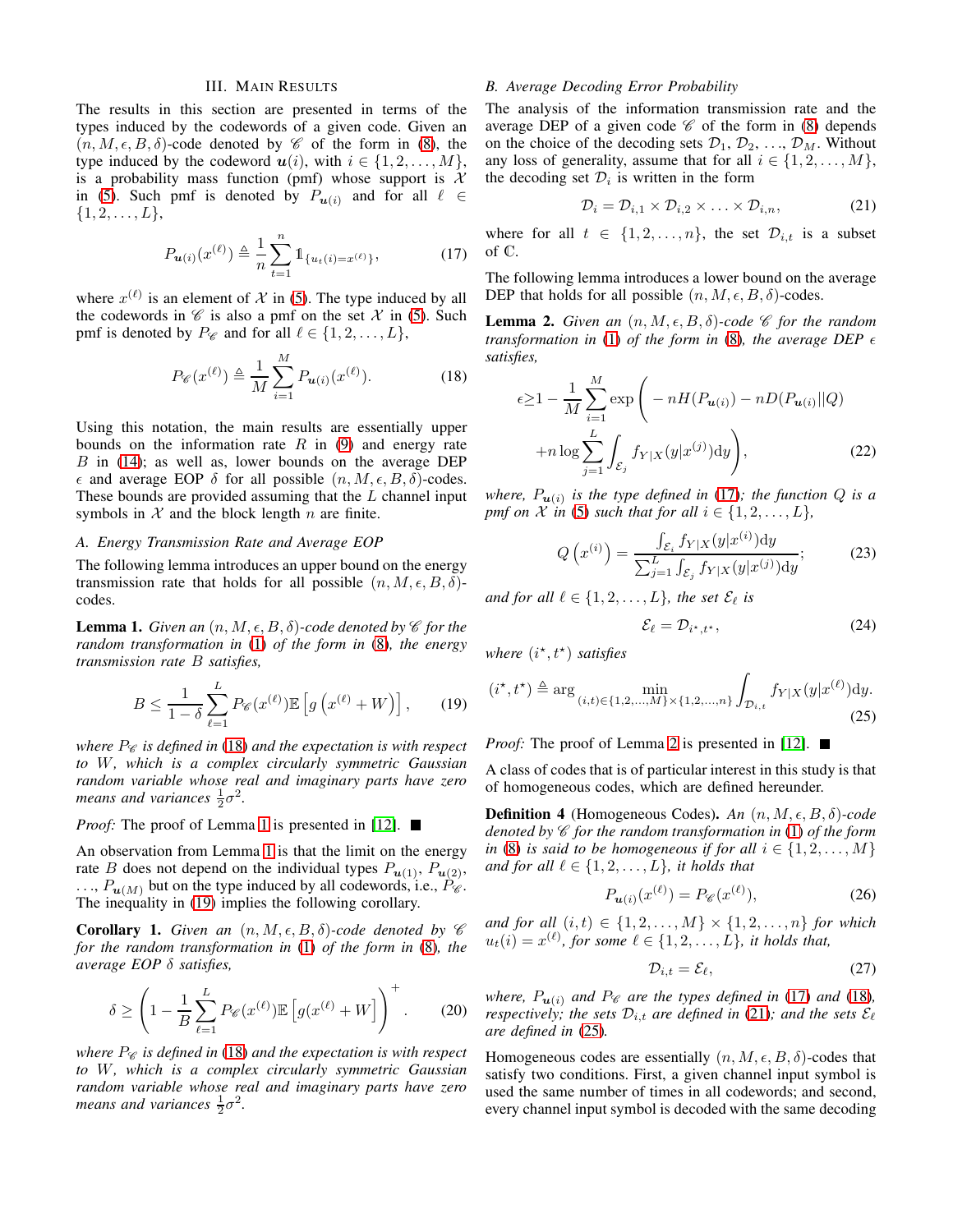## III. MAIN RESULTS

The results in this section are presented in terms of the types induced by the codewords of a given code. Given an  $(n, M, \epsilon, B, \delta)$ -code denoted by  $\mathscr C$  of the form in [\(8\)](#page-1-1), the type induced by the codeword  $u(i)$ , with  $i \in \{1, 2, ..., M\}$ , is a probability mass function (pmf) whose support is  $X$ in [\(5\)](#page-1-5). Such pmf is denoted by  $P_{u(i)}$  and for all  $\ell \in$  $\{1, 2, \ldots, L\},\$ 

<span id="page-2-3"></span>
$$
P_{\mathbf{u}(i)}(x^{(\ell)}) \triangleq \frac{1}{n} \sum_{t=1}^{n} \mathbb{1}_{\{u_t(i) = x^{(\ell)}\}},\tag{17}
$$

where  $x^{(\ell)}$  is an element of X in [\(5\)](#page-1-5). The type induced by all the codewords in  $\mathscr C$  is also a pmf on the set  $\mathscr X$  in [\(5\)](#page-1-5). Such pmf is denoted by  $P_{\mathscr{C}}$  and for all  $\ell \in \{1, 2, ..., L\}$ ,

<span id="page-2-0"></span>
$$
P_{\mathscr{C}}(x^{(\ell)}) \triangleq \frac{1}{M} \sum_{i=1}^{M} P_{\mathbf{u}(i)}(x^{(\ell)}).
$$
 (18)

Using this notation, the main results are essentially upper bounds on the information rate  $R$  in [\(9\)](#page-1-6) and energy rate  $B$  in [\(14\)](#page-1-7); as well as, lower bounds on the average DEP  $\epsilon$  and average EOP  $\delta$  for all possible  $(n, M, \epsilon, B, \delta)$ -codes. These bounds are provided assuming that the  $L$  channel input symbols in  $X$  and the block length  $n$  are finite.

#### *A. Energy Transmission Rate and Average EOP*

The following lemma introduces an upper bound on the energy transmission rate that holds for all possible  $(n, M, \epsilon, B, \delta)$ codes.

<span id="page-2-1"></span>**Lemma 1.** *Given an*  $(n, M, \epsilon, B, \delta)$ -code denoted by  $\mathscr C$  for the *random transformation in* [\(1\)](#page-0-0) *of the form in* [\(8\)](#page-1-1)*, the energy transmission rate* B *satisfies,*

<span id="page-2-2"></span>
$$
B \le \frac{1}{1-\delta} \sum_{\ell=1}^{L} P_{\mathscr{C}}(x^{(\ell)}) \mathbb{E}\left[g\left(x^{(\ell)} + W\right)\right],\qquad(19)
$$

*where*  $P_{\mathscr{C}}$  *is defined in* [\(18\)](#page-2-0) *and the expectation is with respect to* W*, which is a complex circularly symmetric Gaussian random variable whose real and imaginary parts have zero means and variances*  $\frac{1}{2}\sigma^2$ .

*Proof:* The proof of Lemma [1](#page-2-1) is presented in [\[12\]](#page-5-11). ■

An observation from Lemma [1](#page-2-1) is that the limit on the energy rate B does not depend on the individual types  $P_{u(1)}$ ,  $P_{u(2)}$ ,  $\ldots$ ,  $P_{\mathbf{u}(M)}$  but on the type induced by all codewords, i.e.,  $P_{\mathscr{C}}$ . The inequality in [\(19\)](#page-2-2) implies the following corollary.

<span id="page-2-9"></span>**Corollary 1.** *Given an*  $(n, M, \epsilon, B, \delta)$ -code denoted by  $\mathscr C$ *for the random transformation in* [\(1\)](#page-0-0) *of the form in* [\(8\)](#page-1-1)*, the average EOP* δ *satisfies,*

$$
\delta \ge \left(1 - \frac{1}{B} \sum_{\ell=1}^{L} P_{\mathscr{C}}(x^{(\ell)}) \mathbb{E}\left[g(x^{(\ell)} + W\right]\right)^{+}.
$$
 (20)

*where*  $P_{\mathscr{C}}$  *is defined in* [\(18\)](#page-2-0) *and the expectation is with respect to* W*, which is a complex circularly symmetric Gaussian random variable whose real and imaginary parts have zero means and variances*  $\frac{1}{2}\sigma^2$ .

# *B. Average Decoding Error Probability*

The analysis of the information transmission rate and the average DEP of a given code  $\mathscr C$  of the form in [\(8\)](#page-1-1) depends on the choice of the decoding sets  $\mathcal{D}_1, \mathcal{D}_2, \ldots, \mathcal{D}_M$ . Without any loss of generality, assume that for all  $i \in \{1, 2, \ldots, M\}$ , the decoding set  $\mathcal{D}_i$  is written in the form

<span id="page-2-5"></span>
$$
\mathcal{D}_i = \mathcal{D}_{i,1} \times \mathcal{D}_{i,2} \times \ldots \times \mathcal{D}_{i,n}, \tag{21}
$$

where for all  $t \in \{1, 2, ..., n\}$ , the set  $\mathcal{D}_{i,t}$  is a subset of C.

The following lemma introduces a lower bound on the average DEP that holds for all possible  $(n, M, \epsilon, B, \delta)$ -codes.

<span id="page-2-4"></span>**Lemma 2.** *Given an*  $(n, M, \epsilon, B, \delta)$ *-code*  $\mathscr C$  *for the random transformation in* [\(1\)](#page-0-0) *of the form in* [\(8\)](#page-1-1)*, the average DEP*  $\epsilon$ *satisfies,*

$$
\epsilon \ge 1 - \frac{1}{M} \sum_{i=1}^{M} \exp\left(-nH(P_{\mathbf{u}(i)}) - nD(P_{\mathbf{u}(i)}||Q)\right)
$$

$$
+ n \log \sum_{j=1}^{L} \int_{\mathcal{E}_j} f_{Y|X}(y|x^{(j)}) \mathrm{d}y\right), \tag{22}
$$

where,  $P_{\bm{u}(i)}$  is the type defined in [\(17\)](#page-2-3); the function  $Q$  is a *pmf on*  $\mathcal X$  *in* [\(5\)](#page-1-5) *such that for all*  $i \in \{1, 2, \ldots, L\}$ *,* 

<span id="page-2-8"></span>
$$
Q\left(x^{(i)}\right) = \frac{\int_{\mathcal{E}_i} f_{Y|X}(y|x^{(i)}) \, dy}{\sum_{j=1}^L \int_{\mathcal{E}_j} f_{Y|X}(y|x^{(j)}) \, dy};\tag{23}
$$

*and for all*  $\ell \in \{1, 2, \ldots, L\}$ *, the set*  $\mathcal{E}_{\ell}$  *is* 

$$
\mathcal{E}_{\ell} = \mathcal{D}_{i^{\star},t^{\star}},\tag{24}
$$

where  $(i^*, t^*)$  satisfies

<span id="page-2-6"></span>
$$
(i^{\star}, t^{\star}) \triangleq \arg \min_{(i,t) \in \{1,2,\dots,M\} \times \{1,2,\dots,n\}} \int_{\mathcal{D}_{i,t}} f_{Y|X}(y|x^{(\ell)}) \mathrm{d}y. \tag{25}
$$

*Proof:* The proof of Lemma [2](#page-2-4) is presented in [\[12\]](#page-5-11). ■

A class of codes that is of particular interest in this study is that of homogeneous codes, which are defined hereunder.

<span id="page-2-7"></span>**Definition 4** (Homogeneous Codes). *An*  $(n, M, \epsilon, B, \delta)$ *-code denoted by* C *for the random transformation in* [\(1\)](#page-0-0) *of the form in* [\(8\)](#page-1-1) *is said to be homogeneous if for all*  $i \in \{1, 2, \ldots, M\}$ *and for all*  $l \in \{1, 2, \ldots, L\}$ *, it holds that* 

$$
P_{u(i)}(x^{(\ell)}) = P_{\mathscr{C}}(x^{(\ell)}),\tag{26}
$$

*and for all*  $(i, t) \in \{1, 2, ..., M\} \times \{1, 2, ..., n\}$  *for which*  $u_t(i) = x^{(\ell)}$ , for some  $\ell \in \{1, 2, \ldots, L\}$ , it holds that,

<span id="page-2-10"></span>
$$
\mathcal{D}_{i,t} = \mathcal{E}_{\ell},\tag{27}
$$

*where,*  $P_{\mathbf{u}(i)}$  *and*  $P_{\mathcal{C}}$  *are the types defined in* [\(17\)](#page-2-3) *and* [\(18\)](#page-2-0)*, respectively; the sets*  $\mathcal{D}_{i,t}$  *are defined in* [\(21\)](#page-2-5)*; and the sets*  $\mathcal{E}_{\ell}$ *are defined in* [\(25\)](#page-2-6)*.*

Homogeneous codes are essentially  $(n, M, \epsilon, B, \delta)$ -codes that satisfy two conditions. First, a given channel input symbol is used the same number of times in all codewords; and second, every channel input symbol is decoded with the same decoding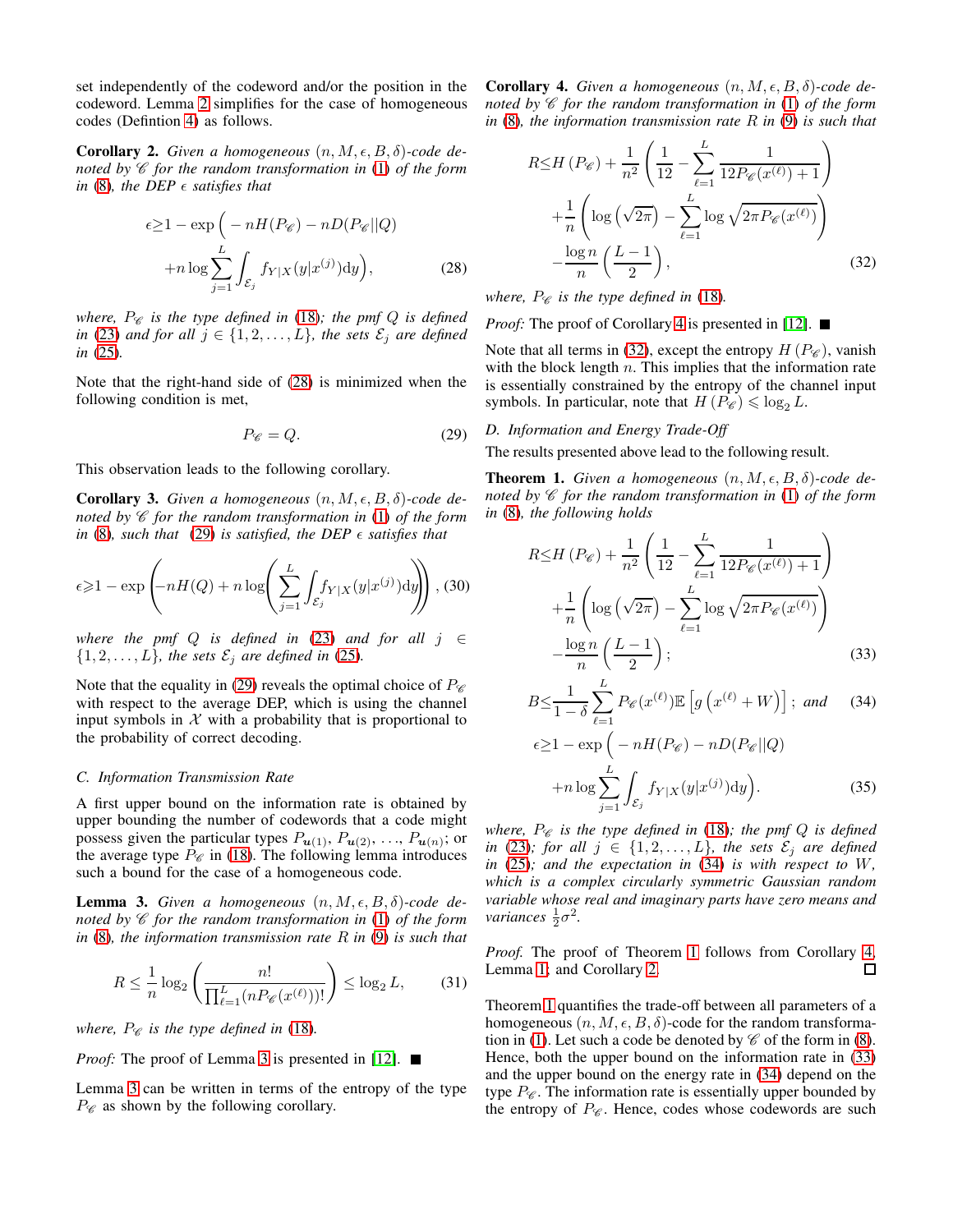set independently of the codeword and/or the position in the codeword. Lemma [2](#page-2-4) simplifies for the case of homogeneous codes (Defintion [4\)](#page-2-7) as follows.

<span id="page-3-7"></span>**Corollary 2.** *Given a homogeneous*  $(n, M, \epsilon, B, \delta)$ -code de*noted by*  $\mathscr C$  *for the random transformation in* [\(1\)](#page-0-0) *of the form in* [\(8\)](#page-1-1)*, the DEP*  $\epsilon$  *satisfies that* 

$$
\epsilon \ge 1 - \exp\left(-nH(P_{\mathscr{C}}) - nD(P_{\mathscr{C}}||Q) + n\log \sum_{j=1}^{L} \int_{\mathcal{E}_{j}} f_{Y|X}(y|x^{(j)}) \mathrm{d}y\right),\tag{28}
$$

*where,*  $P_{\mathscr{C}}$  *is the type defined in* [\(18\)](#page-2-0)*; the pmf*  $Q$  *is defined in* [\(23\)](#page-2-8) *and for all*  $j \in \{1, 2, \ldots, L\}$ *, the sets*  $\mathcal{E}_j$  *are defined in* [\(25\)](#page-2-6)*.*

Note that the right-hand side of [\(28\)](#page-3-0) is minimized when the following condition is met,

<span id="page-3-1"></span>
$$
P_{\mathscr{C}} = Q. \tag{29}
$$

This observation leads to the following corollary.

<span id="page-3-9"></span>**Corollary 3.** Given a homogeneous  $(n, M, \epsilon, B, \delta)$ -code de*noted by* C *for the random transformation in* [\(1\)](#page-0-0) *of the form in* [\(8\)](#page-1-1), such that [\(29\)](#page-3-1) *is satisfied, the DEP*  $\epsilon$  *satisfies that* 

$$
\epsilon \geq 1 - \exp\left(-nH(Q) + n\log\left(\sum_{j=1}^{L} \int_{\mathcal{E}_j} f_{Y|X}(y|x^{(j)}) \,dy\right)\right),\,(30)
$$

*where the pmf*  $Q$  *is defined in* [\(23\)](#page-2-8) *and for all*  $j \in \mathbb{C}$  $\{1, 2, \ldots, L\}$ *, the sets*  $\mathcal{E}_j$  *are defined in* [\(25\)](#page-2-6)*.* 

Note that the equality in [\(29\)](#page-3-1) reveals the optimal choice of  $P_{\mathscr{C}}$ with respect to the average DEP, which is using the channel input symbols in  $X$  with a probability that is proportional to the probability of correct decoding.

## *C. Information Transmission Rate*

A first upper bound on the information rate is obtained by upper bounding the number of codewords that a code might possess given the particular types  $P_{u(1)}$ ,  $P_{u(2)}$ , ...,  $P_{u(n)}$ ; or the average type  $P_{\mathscr{C}}$  in [\(18\)](#page-2-0). The following lemma introduces such a bound for the case of a homogeneous code.

<span id="page-3-2"></span>**Lemma 3.** *Given a homogeneous*  $(n, M, \epsilon, B, \delta)$ -code de*noted by*  $\mathscr C$  *for the random transformation in* [\(1\)](#page-0-0) *of the form in* [\(8\)](#page-1-1)*, the information transmission rate* R *in* [\(9\)](#page-1-6) *is such that*

$$
R \le \frac{1}{n} \log_2 \left( \frac{n!}{\prod_{\ell=1}^L (n P_{\mathscr{C}}(x^{(\ell)}))!} \right) \le \log_2 L,\tag{31}
$$

*where,*  $P_{\mathscr{C}}$  *is the type defined in* [\(18\)](#page-2-0)*.* 

*Proof:* The proof of Lemma [3](#page-3-2) is presented in [\[12\]](#page-5-11). ■

Lemma [3](#page-3-2) can be written in terms of the entropy of the type  $P_{\mathscr{C}}$  as shown by the following corollary.

<span id="page-3-3"></span>**Corollary 4.** *Given a homogeneous*  $(n, M, \epsilon, B, \delta)$ *-code denoted by*  $\mathscr C$  *for the random transformation in* [\(1\)](#page-0-0) *of the form in* [\(8\)](#page-1-1)*, the information transmission rate* R *in* [\(9\)](#page-1-6) *is such that*

<span id="page-3-4"></span>
$$
R \le H\left(P_{\mathscr{C}}\right) + \frac{1}{n^2} \left(\frac{1}{12} - \sum_{\ell=1}^{L} \frac{1}{12P_{\mathscr{C}}(x^{(\ell)}) + 1}\right)
$$

$$
+ \frac{1}{n} \left(\log\left(\sqrt{2\pi}\right) - \sum_{\ell=1}^{L} \log\sqrt{2\pi P_{\mathscr{C}}(x^{(\ell)})}\right)
$$

$$
- \frac{\log n}{n} \left(\frac{L-1}{2}\right),\tag{32}
$$

<span id="page-3-0"></span>*where,*  $P_{\mathscr{C}}$  *is the type defined in* [\(18\)](#page-2-0)*.* 

*Proof:* The proof of Corollary [4](#page-3-3) is presented in [\[12\]](#page-5-11). ■

Note that all terms in [\(32\)](#page-3-4), except the entropy  $H(P_{\mathscr{C}})$ , vanish with the block length  $n$ . This implies that the information rate is essentially constrained by the entropy of the channel input symbols. In particular, note that  $H(P_{\mathscr{C}}) \leq \log_2 L$ .

#### *D. Information and Energy Trade-Off*

The results presented above lead to the following result.

<span id="page-3-6"></span>**Theorem 1.** *Given a homogeneous*  $(n, M, \epsilon, B, \delta)$ *-code denoted by*  $\mathscr C$  *for the random transformation in* [\(1\)](#page-0-0) *of the form in* [\(8\)](#page-1-1)*, the following holds*

$$
R \le H(P_{\mathscr{C}}) + \frac{1}{n^2} \left( \frac{1}{12} - \sum_{\ell=1}^{L} \frac{1}{12P_{\mathscr{C}}(x^{(\ell)}) + 1} \right) + \frac{1}{n} \left( \log \left( \sqrt{2\pi} \right) - \sum_{\ell=1}^{L} \log \sqrt{2\pi P_{\mathscr{C}}(x^{(\ell)})} \right) - \frac{\log n}{n} \left( \frac{L - 1}{2} \right);
$$
\n(33)

<span id="page-3-8"></span>
$$
B \le \frac{1}{1-\delta} \sum_{\ell=1}^{L} P_{\mathscr{C}}(x^{(\ell)}) \mathbb{E}\left[g\left(x^{(\ell)} + W\right)\right]; \text{ and } (34)
$$

<span id="page-3-10"></span><span id="page-3-5"></span>
$$
\epsilon \ge 1 - \exp\left(-nH(P_{\mathscr{C}}) - nD(P_{\mathscr{C}}||Q) + n\log \sum_{j=1}^{L} \int_{\mathcal{E}_{j}} f_{Y|X}(y|x^{(j)}) \mathrm{d}y\right).
$$
 (35)

*where,*  $P_{\mathscr{C}}$  *is the type defined in* [\(18\)](#page-2-0)*; the pmf Q is defined in* [\(23\)](#page-2-8)*;* for all  $j \in \{1, 2, \ldots, L\}$ *, the sets*  $\mathcal{E}_j$  *are defined in* [\(25\)](#page-2-6)*; and the expectation in* [\(34\)](#page-3-5) *is with respect to* W*, which is a complex circularly symmetric Gaussian random variable whose real and imaginary parts have zero means and variances*  $\frac{1}{2}\sigma^2$ .

*Proof.* The proof of Theorem [1](#page-3-6) follows from Corollary [4,](#page-3-3) □ Lemma [1;](#page-2-1) and Corollary [2.](#page-3-7)

Theorem [1](#page-3-6) quantifies the trade-off between all parameters of a homogeneous  $(n, M, \epsilon, B, \delta)$ -code for the random transforma-tion in [\(1\)](#page-0-0). Let such a code be denoted by  $\mathscr C$  of the form in [\(8\)](#page-1-1). Hence, both the upper bound on the information rate in [\(33\)](#page-3-8) and the upper bound on the energy rate in [\(34\)](#page-3-5) depend on the type  $P_{\mathscr{C}}$ . The information rate is essentially upper bounded by the entropy of  $P_{\mathscr{C}}$ . Hence, codes whose codewords are such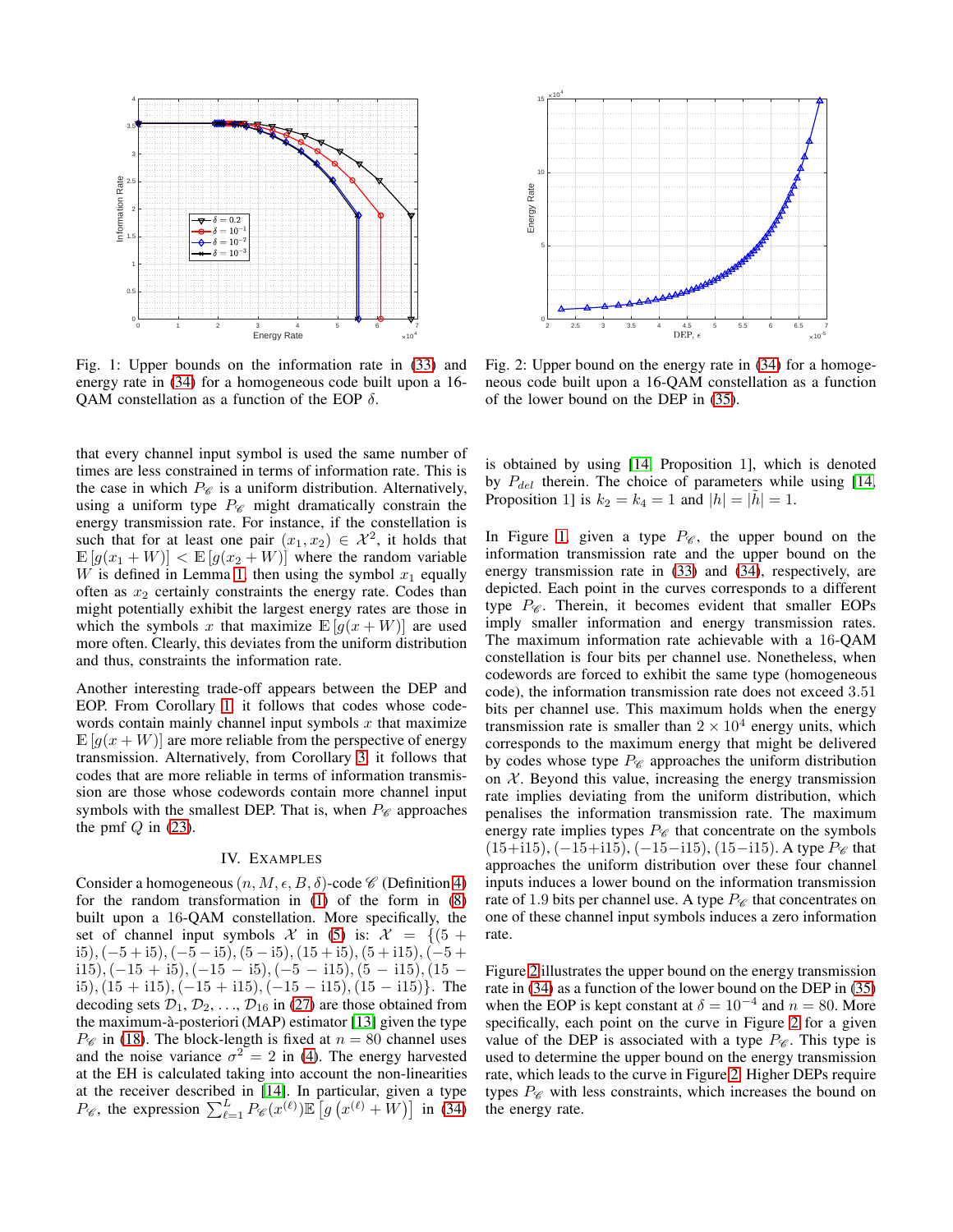<span id="page-4-0"></span>

Fig. 1: Upper bounds on the information rate in [\(33\)](#page-3-8) and energy rate in [\(34\)](#page-3-5) for a homogeneous code built upon a 16- QAM constellation as a function of the EOP  $\delta$ .

that every channel input symbol is used the same number of times are less constrained in terms of information rate. This is the case in which  $P_{\mathscr{C}}$  is a uniform distribution. Alternatively, using a uniform type  $P_{\mathscr{C}}$  might dramatically constrain the energy transmission rate. For instance, if the constellation is such that for at least one pair  $(x_1, x_2) \in \mathcal{X}^2$ , it holds that  $\mathbb{E}[g(x_1+W)] < \mathbb{E}[g(x_2+W)]$  where the random variable W is defined in Lemma [1,](#page-2-1) then using the symbol  $x_1$  equally often as  $x_2$  certainly constraints the energy rate. Codes than might potentially exhibit the largest energy rates are those in which the symbols x that maximize  $\mathbb{E}[g(x+W)]$  are used more often. Clearly, this deviates from the uniform distribution and thus, constraints the information rate.

Another interesting trade-off appears between the DEP and EOP. From Corollary [1,](#page-2-9) it follows that codes whose codewords contain mainly channel input symbols  $x$  that maximize  $\mathbb{E}[g(x+W)]$  are more reliable from the perspective of energy transmission. Alternatively, from Corollary [3,](#page-3-9) it follows that codes that are more reliable in terms of information transmission are those whose codewords contain more channel input symbols with the smallest DEP. That is, when  $P_{\mathscr{C}}$  approaches the pmf  $Q$  in [\(23\)](#page-2-8).

## IV. EXAMPLES

Consider a homogeneous  $(n, M, \epsilon, B, \delta)$ -code  $\mathscr C$  (Definition [4\)](#page-2-7) for the random transformation in [\(1\)](#page-0-0) of the form in [\(8\)](#page-1-1) built upon a 16-QAM constellation. More specifically, the set of channel input symbols  $\mathcal X$  in [\(5\)](#page-1-5) is:  $\mathcal X = \{(5 +$ i5),  $(-5 + i5)$ ,  $(-5 - i5)$ ,  $(5 - i5)$ ,  $(15 + i5)$ ,  $(5 + i15)$ ,  $(-5 +$ i15),  $(-15 + i5)$ ,  $(-15 - i5)$ ,  $(-5 - i15)$ ,  $(5 - i15)$ ,  $(15$ i5),  $(15 + i15)$ ,  $(-15 + i15)$ ,  $(-15 - i15)$ ,  $(15 - i15)$ }. The decoding sets  $\mathcal{D}_1, \mathcal{D}_2, \ldots, \mathcal{D}_{16}$  in [\(27\)](#page-2-10) are those obtained from the maximum-à-posteriori (MAP) estimator  $[13]$  given the type  $P_{\mathscr{C}}$  in [\(18\)](#page-2-0). The block-length is fixed at  $n = 80$  channel uses and the noise variance  $\sigma^2 = 2$  in [\(4\)](#page-1-8). The energy harvested at the EH is calculated taking into account the non-linearities at the receiver described in [\[14\]](#page-5-13). In particular, given a type  $P_{\mathscr{C}}$ , the expression  $\sum_{\ell=1}^{L} P_{\mathscr{C}}(x^{(\ell)}) \mathbb{E}\left[g\left(x^{(\ell)}+W\right)\right]$  in [\(34\)](#page-3-5)

<span id="page-4-1"></span>

Fig. 2: Upper bound on the energy rate in [\(34\)](#page-3-5) for a homogeneous code built upon a 16-QAM constellation as a function of the lower bound on the DEP in [\(35\)](#page-3-10).

is obtained by using [\[14,](#page-5-13) Proposition 1], which is denoted by  $P_{del}$  therein. The choice of parameters while using [\[14,](#page-5-13) Proposition 1] is  $k_2 = k_4 = 1$  and  $|h| = |\tilde{h}| = 1$ .

In Figure [1,](#page-4-0) given a type  $P_{\mathscr{C}}$ , the upper bound on the information transmission rate and the upper bound on the energy transmission rate in [\(33\)](#page-3-8) and [\(34\)](#page-3-5), respectively, are depicted. Each point in the curves corresponds to a different type  $P_{\mathscr{C}}$ . Therein, it becomes evident that smaller EOPs imply smaller information and energy transmission rates. The maximum information rate achievable with a 16-QAM constellation is four bits per channel use. Nonetheless, when codewords are forced to exhibit the same type (homogeneous code), the information transmission rate does not exceed 3.51 bits per channel use. This maximum holds when the energy transmission rate is smaller than  $2 \times 10^4$  energy units, which corresponds to the maximum energy that might be delivered by codes whose type  $P_{\mathscr{C}}$  approaches the uniform distribution on  $X$ . Beyond this value, increasing the energy transmission rate implies deviating from the uniform distribution, which penalises the information transmission rate. The maximum energy rate implies types  $P_{\mathscr{C}}$  that concentrate on the symbols  $(15+i15), (-15+i15), (-15-i15), (15-i15)$ . A type  $P_{\mathscr{C}}$  that approaches the uniform distribution over these four channel inputs induces a lower bound on the information transmission rate of 1.9 bits per channel use. A type  $P_{\mathscr{C}}$  that concentrates on one of these channel input symbols induces a zero information rate.

Figure [2](#page-4-1) illustrates the upper bound on the energy transmission rate in [\(34\)](#page-3-5) as a function of the lower bound on the DEP in [\(35\)](#page-3-10) when the EOP is kept constant at  $\delta = 10^{-4}$  and  $n = 80$ . More specifically, each point on the curve in Figure [2](#page-4-1) for a given value of the DEP is associated with a type  $P_{\mathscr{C}}$ . This type is used to determine the upper bound on the energy transmission rate, which leads to the curve in Figure [2.](#page-4-1) Higher DEPs require types  $P_{\mathscr{C}}$  with less constraints, which increases the bound on the energy rate.